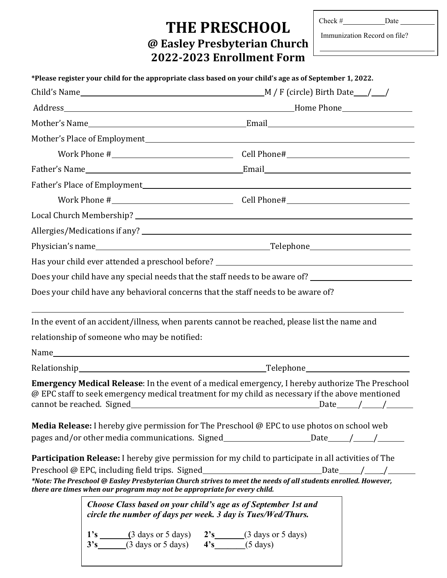# **THE PRESCHOOL**  $\left|\begin{array}{c}\n\text{Check}\# \text{array}\n\text{Date}\n\text{Data}\n\end{array}\right|$ **@ Easley Presbyterian Church 2022-2023 Enrollment Form**

| 1eck # |  |  |
|--------|--|--|
|        |  |  |

|  |                                              | Has your child ever attended a preschool before? _______________________________                                                                                                                                                                                                                   |  |  |
|--|----------------------------------------------|----------------------------------------------------------------------------------------------------------------------------------------------------------------------------------------------------------------------------------------------------------------------------------------------------|--|--|
|  |                                              | Does your child have any special needs that the staff needs to be aware of? _______________________                                                                                                                                                                                                |  |  |
|  |                                              | Does your child have any behavioral concerns that the staff needs to be aware of?                                                                                                                                                                                                                  |  |  |
|  |                                              | In the event of an accident/illness, when parents cannot be reached, please list the name and                                                                                                                                                                                                      |  |  |
|  | relationship of someone who may be notified: |                                                                                                                                                                                                                                                                                                    |  |  |
|  |                                              |                                                                                                                                                                                                                                                                                                    |  |  |
|  |                                              |                                                                                                                                                                                                                                                                                                    |  |  |
|  |                                              | Emergency Medical Release: In the event of a medical emergency, I hereby authorize The Preschool<br>@ EPC staff to seek emergency medical treatment for my child as necessary if the above mentioned<br>cannot be reached. Signed $\sqrt{2}$                                                       |  |  |
|  |                                              | Media Release: I hereby give permission for The Preschool @ EPC to use photos on school web                                                                                                                                                                                                        |  |  |
|  |                                              | pages and/or other media communications. Signed________________________Date_____/_____/_____________                                                                                                                                                                                               |  |  |
|  |                                              | Participation Release: I hereby give permission for my child to participate in all activities of The                                                                                                                                                                                               |  |  |
|  |                                              | Preschool @ EPC, including field trips. Signed_____________________________Date_____/____/__________<br>*Note: The Preschool @ Easley Presbyterian Church strives to meet the needs of all students enrolled. However,<br>there are times when our program may not be appropriate for every child. |  |  |
|  |                                              | Choose Class based on your child's age as of September 1st and<br>circle the number of days per week. 3 day is Tues/Wed/Thurs.                                                                                                                                                                     |  |  |

1's (3 days or 5 days) 2's (3 days or 5 days)<br>3's (3 days or 5 days) 4's (5 days) **3's**  $\frac{1}{\sqrt{3}}$  (3 days or 5 days)